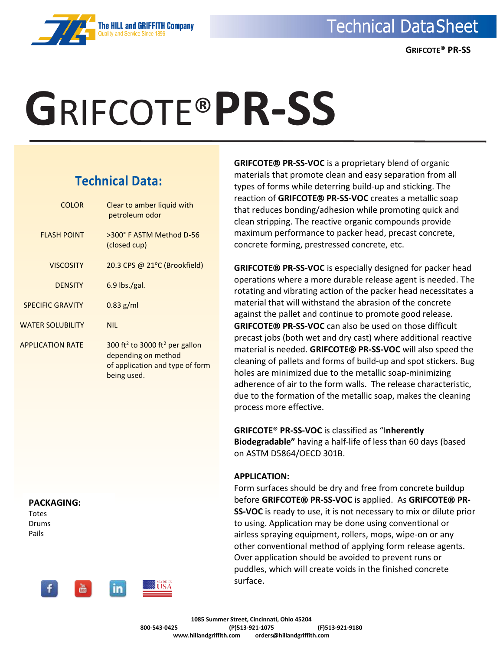

# **G**RIFCOTE®**PR-SS**

**The HILL and GRIFFITH Company** 

## **Technical Data:**

| <b>COLOR</b>            | Clear to amber liquid with<br>petroleum odor                                                                                    |
|-------------------------|---------------------------------------------------------------------------------------------------------------------------------|
| <b>FLASH POINT</b>      | >300° F ASTM Method D-56<br>(closed cup)                                                                                        |
| <b>VISCOSITY</b>        | 20.3 CPS @ 21 $\degree$ C (Brookfield)                                                                                          |
| <b>DENSITY</b>          | $6.9$ lbs./gal.                                                                                                                 |
| <b>SPECIFIC GRAVITY</b> | $0.83$ g/ml                                                                                                                     |
| <b>WATER SOLUBILITY</b> | <b>NIL</b>                                                                                                                      |
| <b>APPLICATION RATE</b> | 300 ft <sup>2</sup> to 3000 ft <sup>2</sup> per gallon<br>depending on method<br>of application and type of form<br>being used. |

**PACKAGING:** Totes Drums

Pails



**GRIFCOTE<sup>®</sup> PR-SS-VOC** is a proprietary blend of organic materials that promote clean and easy separation from all types of forms while deterring build-up and sticking. The reaction of GRIFCOTE<sup>®</sup> PR-SS-VOC creates a metallic soap that reduces bonding/adhesion while promoting quick and clean stripping. The reactive organic compounds provide maximum performance to packer head, precast concrete, concrete forming, prestressed concrete, etc.

**GRIFCOTE<sup>®</sup> PR-SS-VOC** is especially designed for packer head operations where a more durable release agent is needed. The rotating and vibrating action of the packer head necessitates a material that will withstand the abrasion of the concrete against the pallet and continue to promote good release. **GRIFCOTE<sup>®</sup> PR-SS-VOC** can also be used on those difficult precast jobs (both wet and dry cast) where additional reactive material is needed. **GRIFCOTE<sup>®</sup> PR-SS-VOC** will also speed the cleaning of pallets and forms of build-up and spot stickers. Bug holes are minimized due to the metallic soap-minimizing adherence of air to the form walls. The release characteristic, due to the formation of the metallic soap, makes the cleaning process more effective.

**GRIFCOTE® PR-SS-VOC** is classified as "I**nherently Biodegradable"** having a half-life of less than 60 days (based on ASTM D5864/OECD 301B.

## **APPLICATION:**

Form surfaces should be dry and free from concrete buildup before **GRIFCOTE PR-SS-VOC** is applied. As **GRIFCOTE PR-SS-VOC** is ready to use, it is not necessary to mix or dilute prior to using. Application may be done using conventional or airless spraying equipment, rollers, mops, wipe-on or any other conventional method of applying form release agents. Over application should be avoided to prevent runs or puddles, which will create voids in the finished concrete surface.